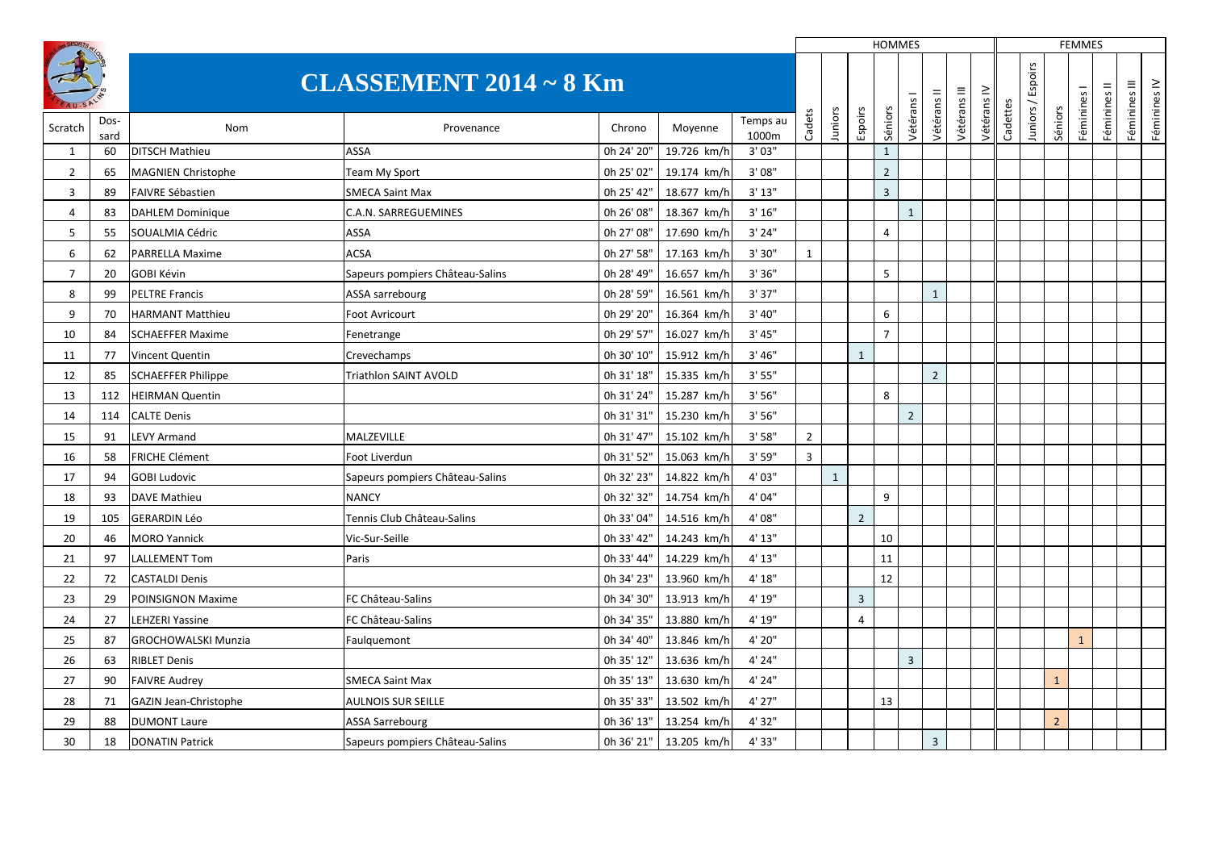|                |              |                            |                                 |            |             |                   |                |              |                | <b>HOMMES</b>            |                |                |              |             |          |                   |                | <b>FEMMES</b> |              |               |              |
|----------------|--------------|----------------------------|---------------------------------|------------|-------------|-------------------|----------------|--------------|----------------|--------------------------|----------------|----------------|--------------|-------------|----------|-------------------|----------------|---------------|--------------|---------------|--------------|
|                |              |                            | <b>CLASSEMENT 2014 ~ 8 Km</b>   |            |             |                   |                |              |                |                          |                |                | Vétérans III | Vétérans IV |          | Juniors / Espoirs |                | Féminines I   | Féminines II | Féminines III | Féminines IV |
| Scratch        | Dos-<br>sard | Nom                        | Provenance                      | Chrono     | Moyenne     | Temps au<br>1000m | Cadets         | Juniors      | Espoirs        | Séniors                  | Vétérans       | Vétérans       |              |             | Cadettes |                   | Séniors        |               |              |               |              |
| $\mathbf{1}$   | 60           | <b>DITSCH Mathieu</b>      | ASSA                            | 0h 24' 20" | 19.726 km/h | 3'03''            |                |              |                | $\mathbf{1}$             |                |                |              |             |          |                   |                |               |              |               |              |
| 2              | 65           | <b>MAGNIEN Christophe</b>  | Team My Sport                   | 0h 25' 02" | 19.174 km/h | 3'08''            |                |              |                | $\overline{\phantom{a}}$ |                |                |              |             |          |                   |                |               |              |               |              |
| 3              | 89           | <b>FAIVRE Sébastien</b>    | <b>SMECA Saint Max</b>          | 0h 25' 42" | 18.677 km/h | 3'13''            |                |              |                | $\overline{3}$           |                |                |              |             |          |                   |                |               |              |               |              |
| $\overline{4}$ | 83           | <b>DAHLEM Dominique</b>    | C.A.N. SARREGUEMINES            | 0h 26' 08" | 18.367 km/h | 3'16''            |                |              |                |                          | $\mathbf{1}$   |                |              |             |          |                   |                |               |              |               |              |
| 5              | 55           | SOUALMIA Cédric            | ASSA                            | 0h 27' 08" | 17.690 km/h | 3'24"             |                |              |                | $\overline{4}$           |                |                |              |             |          |                   |                |               |              |               |              |
| 6              | 62           | <b>PARRELLA Maxime</b>     | <b>ACSA</b>                     | 0h 27' 58" | 17.163 km/h | 3' 30"            | 1              |              |                |                          |                |                |              |             |          |                   |                |               |              |               |              |
| $\overline{7}$ | 20           | <b>GOBI Kévin</b>          | Sapeurs pompiers Château-Salins | 0h 28' 49" | 16.657 km/h | 3'36''            |                |              |                | 5                        |                |                |              |             |          |                   |                |               |              |               |              |
| 8              | 99           | <b>PELTRE Francis</b>      | ASSA sarrebourg                 | 0h 28' 59" | 16.561 km/h | 3' 37"            |                |              |                |                          |                | $\mathbf{1}$   |              |             |          |                   |                |               |              |               |              |
| 9              | 70           | <b>HARMANT Matthieu</b>    | Foot Avricourt                  | 0h 29' 20" | 16.364 km/h | 3' 40''           |                |              |                | 6                        |                |                |              |             |          |                   |                |               |              |               |              |
| 10             | 84           | <b>SCHAEFFER Maxime</b>    | Fenetrange                      | 0h 29' 57" | 16.027 km/h | 3' 45''           |                |              |                | $\overline{7}$           |                |                |              |             |          |                   |                |               |              |               |              |
| 11             | 77           | Vincent Quentin            | Crevechamps                     | 0h 30' 10" | 15.912 km/h | 3' 46''           |                |              | $\mathbf{1}$   |                          |                |                |              |             |          |                   |                |               |              |               |              |
| 12             | 85           | <b>SCHAEFFER Philippe</b>  | Triathlon SAINT AVOLD           | 0h 31' 18" | 15.335 km/h | 3' 55"            |                |              |                |                          |                | $\overline{2}$ |              |             |          |                   |                |               |              |               |              |
| 13             | 112          | <b>HEIRMAN Quentin</b>     |                                 | 0h 31' 24" | 15.287 km/h | 3'56''            |                |              |                | 8                        |                |                |              |             |          |                   |                |               |              |               |              |
| 14             | 114          | <b>CALTE Denis</b>         |                                 | 0h 31' 31" | 15.230 km/h | 3'56"             |                |              |                |                          | $\overline{2}$ |                |              |             |          |                   |                |               |              |               |              |
| 15             | 91           | <b>LEVY Armand</b>         | MALZEVILLE                      | 0h 31' 47" | 15.102 km/h | 3'58"             | $\overline{2}$ |              |                |                          |                |                |              |             |          |                   |                |               |              |               |              |
| 16             | 58           | <b>FRICHE Clément</b>      | Foot Liverdun                   | 0h 31' 52" | 15.063 km/h | 3' 59"            | $\overline{3}$ |              |                |                          |                |                |              |             |          |                   |                |               |              |               |              |
| 17             | 94           | <b>GOBI Ludovic</b>        | Sapeurs pompiers Château-Salins | 0h 32' 23" | 14.822 km/h | 4' 03"            |                | $\mathbf{1}$ |                |                          |                |                |              |             |          |                   |                |               |              |               |              |
| 18             | 93           | <b>DAVE Mathieu</b>        | <b>NANCY</b>                    | 0h 32' 32" | 14.754 km/h | 4'04"             |                |              |                | $\mathsf{q}$             |                |                |              |             |          |                   |                |               |              |               |              |
| 19             | 105          | <b>GERARDIN Léo</b>        | Tennis Club Château-Salins      | 0h 33' 04" | 14.516 km/h | 4'08"             |                |              | $\overline{2}$ |                          |                |                |              |             |          |                   |                |               |              |               |              |
| 20             | -46          | <b>MORO Yannick</b>        | Vic-Sur-Seille                  | 0h 33' 42" | 14.243 km/h | 4' 13"            |                |              |                | 10                       |                |                |              |             |          |                   |                |               |              |               |              |
| 21             | 97           | <b>LALLEMENT Tom</b>       | Paris                           | 0h 33' 44" | 14.229 km/h | 4' 13"            |                |              |                | 11                       |                |                |              |             |          |                   |                |               |              |               |              |
| 22             | 72           | <b>CASTALDI Denis</b>      |                                 | 0h 34' 23" | 13.960 km/h | 4' 18"            |                |              |                | 12                       |                |                |              |             |          |                   |                |               |              |               |              |
| 23             | 29           | <b>POINSIGNON Maxime</b>   | FC Château-Salins               | 0h 34' 30" | 13.913 km/h | 4' 19"            |                |              | $\overline{3}$ |                          |                |                |              |             |          |                   |                |               |              |               |              |
| 24             | 27           | <b>LEHZERI Yassine</b>     | FC Château-Salins               | 0h 34' 35" | 13.880 km/h | 4' 19"            |                |              | $\overline{4}$ |                          |                |                |              |             |          |                   |                |               |              |               |              |
| 25             | 87           | <b>GROCHOWALSKI Munzia</b> | Faulquemont                     | 0h 34' 40" | 13.846 km/h | 4' 20"            |                |              |                |                          |                |                |              |             |          |                   |                | $\mathbf{1}$  |              |               |              |
| 26             | 63           | <b>RIBLET Denis</b>        |                                 | 0h 35' 12" | 13.636 km/h | 4' 24"            |                |              |                |                          | $\overline{3}$ |                |              |             |          |                   |                |               |              |               |              |
| 27             | 90           | <b>FAIVRE Audrey</b>       | <b>SMECA Saint Max</b>          | 0h 35' 13" | 13.630 km/h | 4' 24"            |                |              |                |                          |                |                |              |             |          |                   | $\mathbf{1}$   |               |              |               |              |
| 28             | 71           | GAZIN Jean-Christophe      | <b>AULNOIS SUR SEILLE</b>       | 0h 35' 33" | 13.502 km/h | 4' 27"            |                |              |                | 13                       |                |                |              |             |          |                   |                |               |              |               |              |
| 29             | 88           | <b>DUMONT Laure</b>        | <b>ASSA Sarrebourg</b>          | 0h 36' 13" | 13.254 km/h | 4'32"             |                |              |                |                          |                |                |              |             |          |                   | $\overline{2}$ |               |              |               |              |
| 30             | 18           | <b>DONATIN Patrick</b>     | Sapeurs pompiers Château-Salins | 0h 36' 21" | 13.205 km/h | 4' 33"            |                |              |                |                          |                | $\overline{3}$ |              |             |          |                   |                |               |              |               |              |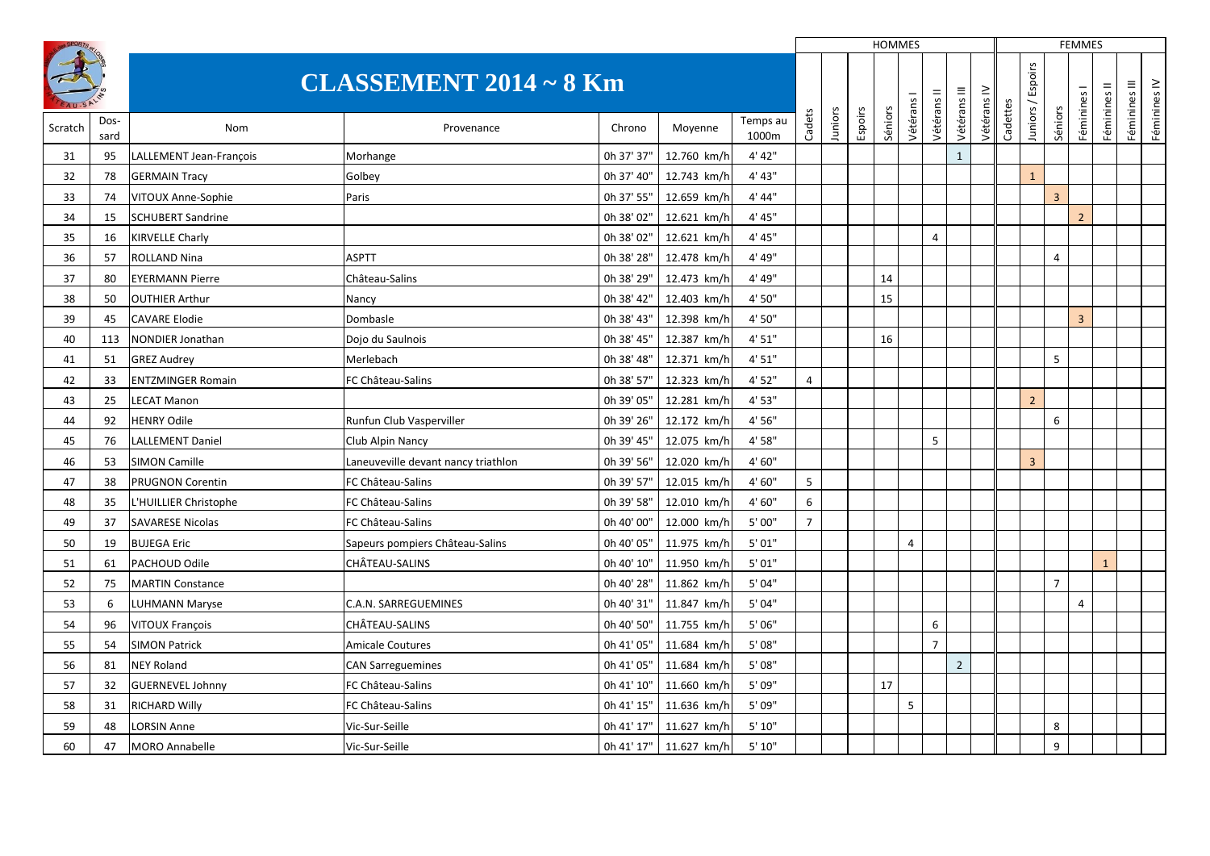|         |              |                          |                                     |            |             |                   |                |         |         | <b>HOMMES</b> |                |                |                |             |          |                |                | <b>FEMMES</b>  |              |               |              |
|---------|--------------|--------------------------|-------------------------------------|------------|-------------|-------------------|----------------|---------|---------|---------------|----------------|----------------|----------------|-------------|----------|----------------|----------------|----------------|--------------|---------------|--------------|
|         |              |                          | <b>CLASSEMENT 2014 ~ 8 Km</b>       |            |             |                   |                |         |         |               |                |                | Vétérans III   | Vétérans IV |          | Espoirs        |                | Féminines I    | Féminines II | Féminines III | Féminines IV |
| Scratch | Dos-<br>sard | Nom                      | Provenance                          | Chrono     | Moyenne     | Temps au<br>1000m | Cadets         | Juniors | Espoirs | Séniors       | Vétérans I     | Vétérans II    |                |             | Cadettes | Juniors /      | Séniors        |                |              |               |              |
| 31      | 95           | LALLEMENT Jean-Francois  | Morhange                            | 0h 37' 37" | 12.760 km/h | 4' 42"            |                |         |         |               |                |                | $\mathbf{1}$   |             |          |                |                |                |              |               |              |
| 32      | 78           | <b>GERMAIN Tracy</b>     | Golbey                              | 0h 37' 40" | 12.743 km/h | 4' 43"            |                |         |         |               |                |                |                |             |          | $\overline{1}$ |                |                |              |               |              |
| 33      | 74           | VITOUX Anne-Sophie       | Paris                               | 0h 37' 55" | 12.659 km/h | 4' 44"            |                |         |         |               |                |                |                |             |          |                | $\overline{3}$ |                |              |               |              |
| 34      | 15           | <b>SCHUBERT Sandrine</b> |                                     | 0h 38' 02" | 12.621 km/h | 4' 45"            |                |         |         |               |                |                |                |             |          |                |                | $\overline{2}$ |              |               |              |
| 35      | 16           | <b>KIRVELLE Charly</b>   |                                     | 0h 38' 02" | 12.621 km/h | 4' 45"            |                |         |         |               |                | $\overline{4}$ |                |             |          |                |                |                |              |               |              |
| 36      | 57           | <b>ROLLAND Nina</b>      | <b>ASPTT</b>                        | 0h 38' 28" | 12.478 km/h | 4' 49"            |                |         |         |               |                |                |                |             |          |                | $\overline{4}$ |                |              |               |              |
| 37      | 80           | <b>EYERMANN Pierre</b>   | Château-Salins                      | 0h 38' 29" | 12.473 km/h | 4' 49"            |                |         |         | 14            |                |                |                |             |          |                |                |                |              |               |              |
| 38      | 50           | <b>OUTHIER Arthur</b>    | Nancy                               | 0h 38' 42" | 12.403 km/h | 4'50"             |                |         |         | 15            |                |                |                |             |          |                |                |                |              |               |              |
| 39      | 45           | <b>CAVARE Elodie</b>     | Dombasle                            | 0h 38' 43" | 12.398 km/h | 4' 50"            |                |         |         |               |                |                |                |             |          |                |                | $\overline{3}$ |              |               |              |
| 40      | 113          | <b>NONDIER Jonathan</b>  | Dojo du Saulnois                    | 0h 38' 45" | 12.387 km/h | 4'51"             |                |         |         | 16            |                |                |                |             |          |                |                |                |              |               |              |
| 41      | 51           | <b>GREZ Audrey</b>       | Merlebach                           | 0h 38' 48" | 12.371 km/h | 4' 51"            |                |         |         |               |                |                |                |             |          |                | 5              |                |              |               |              |
| 42      | 33           | <b>ENTZMINGER Romain</b> | FC Château-Salins                   | 0h 38' 57" | 12.323 km/h | 4' 52"            | 4              |         |         |               |                |                |                |             |          |                |                |                |              |               |              |
| 43      | 25           | <b>LECAT Manon</b>       |                                     | 0h 39' 05" | 12.281 km/h | 4' 53"            |                |         |         |               |                |                |                |             |          | $\overline{2}$ |                |                |              |               |              |
| 44      | 92           | <b>HENRY Odile</b>       | Runfun Club Vasperviller            | 0h 39' 26" | 12.172 km/h | 4' 56"            |                |         |         |               |                |                |                |             |          |                | 6              |                |              |               |              |
| 45      | 76           | <b>LALLEMENT Daniel</b>  | Club Alpin Nancy                    | 0h 39' 45" | 12.075 km/h | 4' 58"            |                |         |         |               |                | 5              |                |             |          |                |                |                |              |               |              |
| 46      | 53           | <b>SIMON Camille</b>     | Laneuveville devant nancy triathlon | 0h 39' 56" | 12.020 km/h | 4' 60"            |                |         |         |               |                |                |                |             |          | $\overline{3}$ |                |                |              |               |              |
| 47      | 38           | PRUGNON Corentin         | FC Château-Salins                   | 0h 39' 57" | 12.015 km/h | 4' 60"            | 5              |         |         |               |                |                |                |             |          |                |                |                |              |               |              |
| 48      | 35           | L'HUILLIER Christophe    | FC Château-Salins                   | 0h 39' 58" | 12.010 km/h | 4' 60"            | 6              |         |         |               |                |                |                |             |          |                |                |                |              |               |              |
| 49      | 37           | <b>SAVARESE Nicolas</b>  | FC Château-Salins                   | 0h 40' 00" | 12.000 km/h | 5'00''            | $\overline{7}$ |         |         |               |                |                |                |             |          |                |                |                |              |               |              |
| 50      | 19           | <b>BUJEGA Eric</b>       | Sapeurs pompiers Château-Salins     | 0h 40' 05" | 11.975 km/h | 5'01"             |                |         |         |               | $\overline{4}$ |                |                |             |          |                |                |                |              |               |              |
| 51      | 61           | PACHOUD Odile            | CHÂTEAU-SALINS                      | 0h 40' 10" | 11.950 km/h | 5'01"             |                |         |         |               |                |                |                |             |          |                |                |                | $\mathbf{1}$ |               |              |
| 52      | 75           | <b>MARTIN Constance</b>  |                                     | 0h 40' 28" | 11.862 km/h | 5'04"             |                |         |         |               |                |                |                |             |          |                | $\overline{7}$ |                |              |               |              |
| 53      | 6            | LUHMANN Maryse           | <b>C.A.N. SARREGUEMINES</b>         | 0h 40' 31" | 11.847 km/h | 5'04"             |                |         |         |               |                |                |                |             |          |                |                | 4              |              |               |              |
| 54      | 96           | VITOUX François          | CHÂTEAU-SALINS                      | 0h 40' 50" | 11.755 km/h | 5'06"             |                |         |         |               |                | 6              |                |             |          |                |                |                |              |               |              |
| 55      | 54           | <b>SIMON Patrick</b>     | <b>Amicale Coutures</b>             | 0h 41' 05" | 11.684 km/h | 5'08"             |                |         |         |               |                | $\overline{7}$ |                |             |          |                |                |                |              |               |              |
| 56      | 81           | <b>NEY Roland</b>        | <b>CAN Sarreguemines</b>            | 0h 41' 05" | 11.684 km/h | 5'08"             |                |         |         |               |                |                | $\overline{2}$ |             |          |                |                |                |              |               |              |
| 57      | 32           | <b>GUERNEVEL Johnny</b>  | FC Château-Salins                   | 0h 41' 10" | 11.660 km/h | 5' 09"            |                |         |         | 17            |                |                |                |             |          |                |                |                |              |               |              |
| 58      | 31           | <b>RICHARD Willy</b>     | FC Château-Salins                   | 0h 41' 15" | 11.636 km/h | 5'09"             |                |         |         |               | 5              |                |                |             |          |                |                |                |              |               |              |
| 59      | 48           | <b>LORSIN Anne</b>       | Vic-Sur-Seille                      | 0h 41' 17" | 11.627 km/h | 5'10''            |                |         |         |               |                |                |                |             |          |                | 8              |                |              |               |              |
| 60      | 47           | <b>MORO Annabelle</b>    | Vic-Sur-Seille                      | 0h 41' 17" | 11.627 km/h | 5'10''            |                |         |         |               |                |                |                |             |          |                | 9              |                |              |               |              |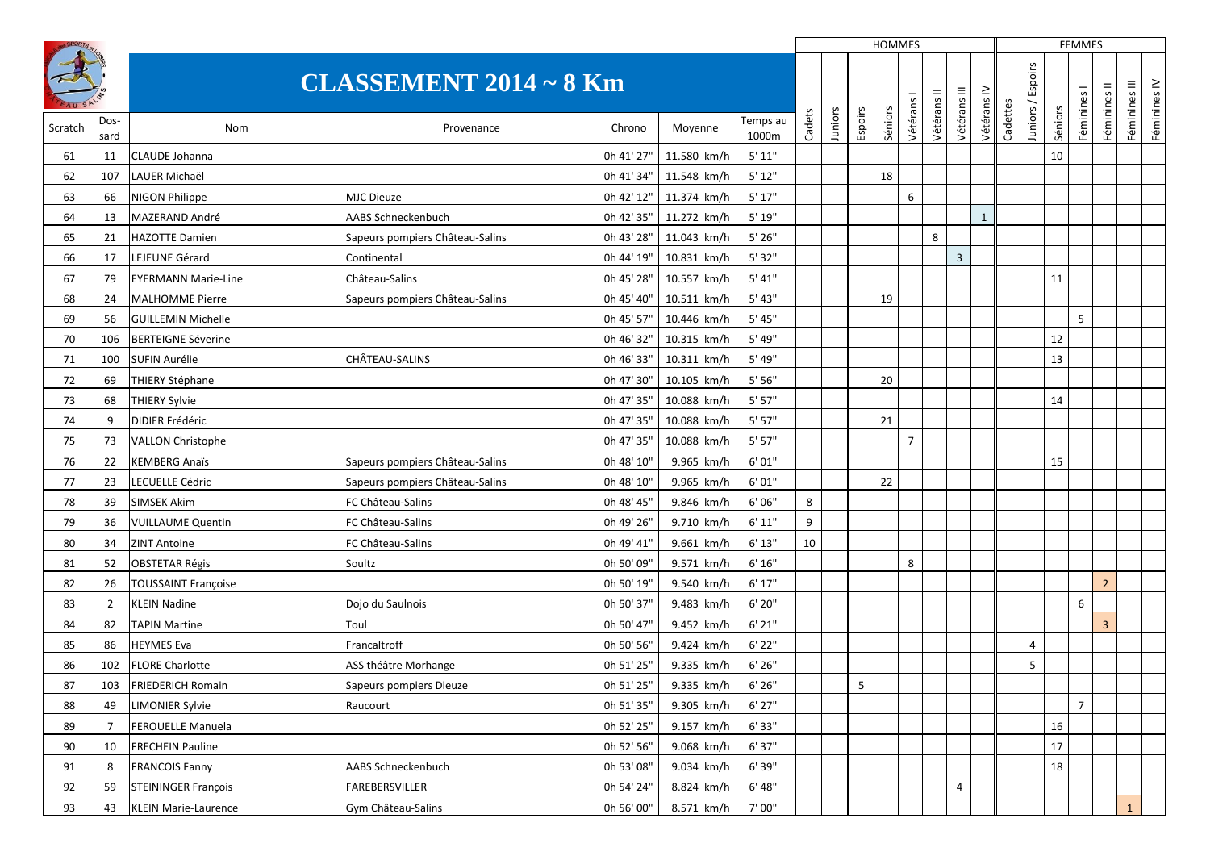|         |                               |                             |                                 |            |              |                   |        |         |         | HOMMES  |                |             |                |              |          |         |         | <b>FEMMES</b>  |                |               |              |
|---------|-------------------------------|-----------------------------|---------------------------------|------------|--------------|-------------------|--------|---------|---------|---------|----------------|-------------|----------------|--------------|----------|---------|---------|----------------|----------------|---------------|--------------|
|         | <b>CLASSEMENT 2014 ~ 8 Km</b> |                             |                                 |            |              |                   |        |         |         |         |                |             | Vétérans III   | Vétérans IV  |          | Espoirs |         | Féminines I    | Féminines II   | Féminines III | Féminines IV |
| Scratch | Dos-<br>sard                  | Nom                         | Provenance                      | Chrono     | Moyenne      | Temps au<br>1000m | Cadets | Juniors | Espoirs | Séniors | Vétérans       | Vétérans II |                |              | Cadettes | Juniors | Séniors |                |                |               |              |
| 61      | 11                            | <b>CLAUDE Johanna</b>       |                                 | 0h 41' 27" | 11.580 km/h  | 5' 11"            |        |         |         |         |                |             |                |              |          |         | 10      |                |                |               |              |
| 62      | 107                           | LAUER Michaël               |                                 | 0h 41' 34" | 11.548 km/h  | 5'12"             |        |         |         | 18      |                |             |                |              |          |         |         |                |                |               |              |
| 63      | 66                            | <b>NIGON Philippe</b>       | <b>MJC Dieuze</b>               | 0h 42' 12" | 11.374 km/h  | 5'17"             |        |         |         |         | 6              |             |                |              |          |         |         |                |                |               |              |
| 64      | 13                            | MAZERAND André              | AABS Schneckenbuch              | 0h 42' 35" | 11.272 km/h  | 5' 19"            |        |         |         |         |                |             |                | $\mathbf{1}$ |          |         |         |                |                |               |              |
| 65      | 21                            | <b>HAZOTTE Damien</b>       | Sapeurs pompiers Château-Salins | 0h 43' 28" | 11.043 km/h  | 5'26''            |        |         |         |         |                | 8           |                |              |          |         |         |                |                |               |              |
| 66      | 17                            | LEJEUNE Gérard              | Continental                     | 0h 44' 19" | 10.831 km/h  | 5'32"             |        |         |         |         |                |             | $\overline{3}$ |              |          |         |         |                |                |               |              |
| 67      | 79                            | <b>EYERMANN Marie-Line</b>  | Château-Salins                  | 0h 45' 28" | 10.557 km/h  | 5' 41"            |        |         |         |         |                |             |                |              |          |         | 11      |                |                |               |              |
| 68      | 24                            | <b>MALHOMME Pierre</b>      | Sapeurs pompiers Château-Salins | 0h 45' 40" | 10.511 km/h  | 5' 43"            |        |         |         | 19      |                |             |                |              |          |         |         |                |                |               |              |
| 69      | 56                            | <b>GUILLEMIN Michelle</b>   |                                 | 0h 45' 57" | 10.446 km/h  | 5' 45"            |        |         |         |         |                |             |                |              |          |         |         | 5              |                |               |              |
| 70      | 106                           | <b>BERTEIGNE Séverine</b>   |                                 | 0h 46' 32" | 10.315 km/h  | 5' 49"            |        |         |         |         |                |             |                |              |          |         | 12      |                |                |               |              |
| 71      | 100                           | <b>SUFIN Aurélie</b>        | CHÂTEAU-SALINS                  | 0h 46' 33" | 10.311 km/h  | 5' 49"            |        |         |         |         |                |             |                |              |          |         | 13      |                |                |               |              |
| 72      | 69                            | <b>THIERY Stéphane</b>      |                                 | 0h 47' 30" | 10.105 km/h  | 5' 56"            |        |         |         | 20      |                |             |                |              |          |         |         |                |                |               |              |
| 73      | 68                            | <b>THIERY Sylvie</b>        |                                 | 0h 47' 35" | 10.088 km/h  | 5' 57"            |        |         |         |         |                |             |                |              |          |         | 14      |                |                |               |              |
| 74      | 9                             | <b>DIDIER Frédéric</b>      |                                 | 0h 47' 35" | 10.088 km/h  | 5'57"             |        |         |         | 21      |                |             |                |              |          |         |         |                |                |               |              |
| 75      | 73                            | <b>VALLON Christophe</b>    |                                 | 0h 47' 35" | 10.088 km/h  | 5'57"             |        |         |         |         | $\overline{7}$ |             |                |              |          |         |         |                |                |               |              |
| 76      | 22                            | <b>KEMBERG Anaïs</b>        | Sapeurs pompiers Château-Salins | 0h 48' 10" | 9.965 km/h   | 6'01"             |        |         |         |         |                |             |                |              |          |         | 15      |                |                |               |              |
| 77      | 23                            | <b>LECUELLE Cédric</b>      | Sapeurs pompiers Château-Salins | 0h 48' 10" | 9.965 km/h   | 6'01"             |        |         |         | 22      |                |             |                |              |          |         |         |                |                |               |              |
| 78      | 39                            | <b>SIMSEK Akim</b>          | FC Château-Salins               | 0h 48' 45" | 9.846 km/h   | 6'06''            | 8      |         |         |         |                |             |                |              |          |         |         |                |                |               |              |
| 79      | 36                            | <b>VUILLAUME Quentin</b>    | FC Château-Salins               | 0h 49' 26" | 9.710 km/h   | 6' 11"            | 9      |         |         |         |                |             |                |              |          |         |         |                |                |               |              |
| 80      | 34                            | <b>ZINT Antoine</b>         | FC Château-Salins               | 0h 49' 41" | 9.661 km/h   | 6' 13''           | 10     |         |         |         |                |             |                |              |          |         |         |                |                |               |              |
| 81      | 52                            | <b>OBSTETAR Régis</b>       | Soultz                          | 0h 50' 09' | $9.571$ km/h | 6' 16''           |        |         |         |         | 8              |             |                |              |          |         |         |                |                |               |              |
| 82      | 26                            | <b>TOUSSAINT Françoise</b>  |                                 | 0h 50' 19" | 9.540 km/h   | 6' 17"            |        |         |         |         |                |             |                |              |          |         |         |                | $\overline{2}$ |               |              |
| 83      | 2                             | <b>KLEIN Nadine</b>         | Dojo du Saulnois                | 0h 50' 37' | 9.483 km/h   | $6'$ 20"          |        |         |         |         |                |             |                |              |          |         |         | 6              |                |               |              |
| 84      | 82                            | <b>TAPIN Martine</b>        | Toul                            | 0h 50' 47" | 9.452 km/h   | 6' 21''           |        |         |         |         |                |             |                |              |          |         |         |                | $\overline{3}$ |               |              |
| 85      | 86                            | <b>HEYMES Eva</b>           | Francaltroff                    | 0h 50' 56" | 9.424 km/h   | $6'$ 22"          |        |         |         |         |                |             |                |              |          | 4       |         |                |                |               |              |
| 86      | 102                           | <b>FLORE Charlotte</b>      | ASS théâtre Morhange            | 0h 51' 25" | 9.335 km/h   | 6'26''            |        |         |         |         |                |             |                |              |          | 5       |         |                |                |               |              |
| 87      | 103                           | <b>FRIEDERICH Romain</b>    | Sapeurs pompiers Dieuze         | 0h 51' 25' | 9.335 km/h   | 6' 26'            |        |         | 5       |         |                |             |                |              |          |         |         |                |                |               |              |
| 88      | 49                            | <b>LIMONIER Sylvie</b>      | Raucourt                        | 0h 51' 35" | 9.305 km/h   | 6' 27"            |        |         |         |         |                |             |                |              |          |         |         | $\overline{7}$ |                |               |              |
| 89      | $\overline{7}$                | <b>FEROUELLE Manuela</b>    |                                 | 0h 52' 25" | 9.157 km/h   | 6'33"             |        |         |         |         |                |             |                |              |          |         | 16      |                |                |               |              |
| 90      | 10                            | <b>FRECHEIN Pauline</b>     |                                 | 0h 52' 56" | 9.068 km/h   | 6' 37"            |        |         |         |         |                |             |                |              |          |         | 17      |                |                |               |              |
| 91      | 8                             | <b>FRANCOIS Fanny</b>       | AABS Schneckenbuch              | 0h 53' 08" | 9.034 km/h   | 6' 39"            |        |         |         |         |                |             |                |              |          |         | 18      |                |                |               |              |
| 92      | 59                            | <b>STEININGER François</b>  | FAREBERSVILLER                  | 0h 54' 24" | 8.824 km/h   | 6' 48''           |        |         |         |         |                |             | $\overline{4}$ |              |          |         |         |                |                |               |              |
| 93      | 43                            | <b>KLEIN Marie-Laurence</b> | Gym Château-Salins              | 0h 56' 00" | 8.571 km/h   | 7'00"             |        |         |         |         |                |             |                |              |          |         |         |                |                | $\mathbf{1}$  |              |